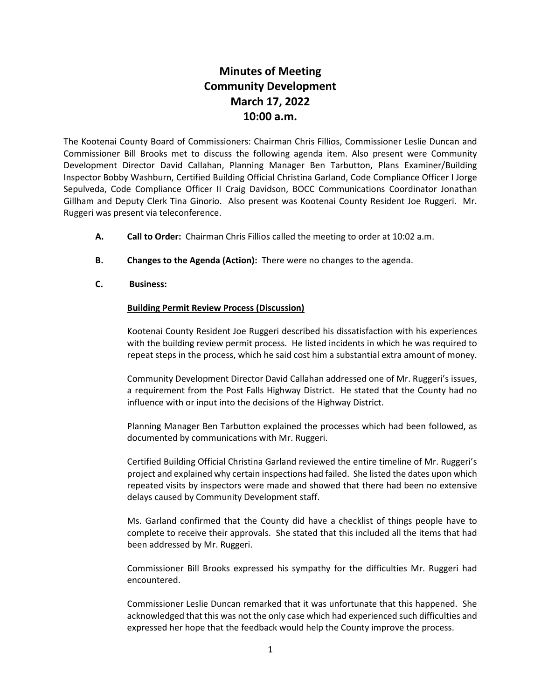## **Minutes of Meeting Community Development March 17, 2022 10:00 a.m.**

The Kootenai County Board of Commissioners: Chairman Chris Fillios, Commissioner Leslie Duncan and Commissioner Bill Brooks met to discuss the following agenda item. Also present were Community Development Director David Callahan, Planning Manager Ben Tarbutton, Plans Examiner/Building Inspector Bobby Washburn, Certified Building Official Christina Garland, Code Compliance Officer I Jorge Sepulveda, Code Compliance Officer II Craig Davidson, BOCC Communications Coordinator Jonathan Gillham and Deputy Clerk Tina Ginorio. Also present was Kootenai County Resident Joe Ruggeri. Mr. Ruggeri was present via teleconference.

- **A. Call to Order:** Chairman Chris Fillios called the meeting to order at 10:02 a.m.
- **B. Changes to the Agenda (Action):** There were no changes to the agenda.
- **C. Business:**

## **Building Permit Review Process (Discussion)**

Kootenai County Resident Joe Ruggeri described his dissatisfaction with his experiences with the building review permit process. He listed incidents in which he was required to repeat steps in the process, which he said cost him a substantial extra amount of money.

Community Development Director David Callahan addressed one of Mr. Ruggeri's issues, a requirement from the Post Falls Highway District. He stated that the County had no influence with or input into the decisions of the Highway District.

Planning Manager Ben Tarbutton explained the processes which had been followed, as documented by communications with Mr. Ruggeri.

Certified Building Official Christina Garland reviewed the entire timeline of Mr. Ruggeri's project and explained why certain inspections had failed. She listed the dates upon which repeated visits by inspectors were made and showed that there had been no extensive delays caused by Community Development staff.

Ms. Garland confirmed that the County did have a checklist of things people have to complete to receive their approvals. She stated that this included all the items that had been addressed by Mr. Ruggeri.

Commissioner Bill Brooks expressed his sympathy for the difficulties Mr. Ruggeri had encountered.

Commissioner Leslie Duncan remarked that it was unfortunate that this happened. She acknowledged that this was not the only case which had experienced such difficulties and expressed her hope that the feedback would help the County improve the process.